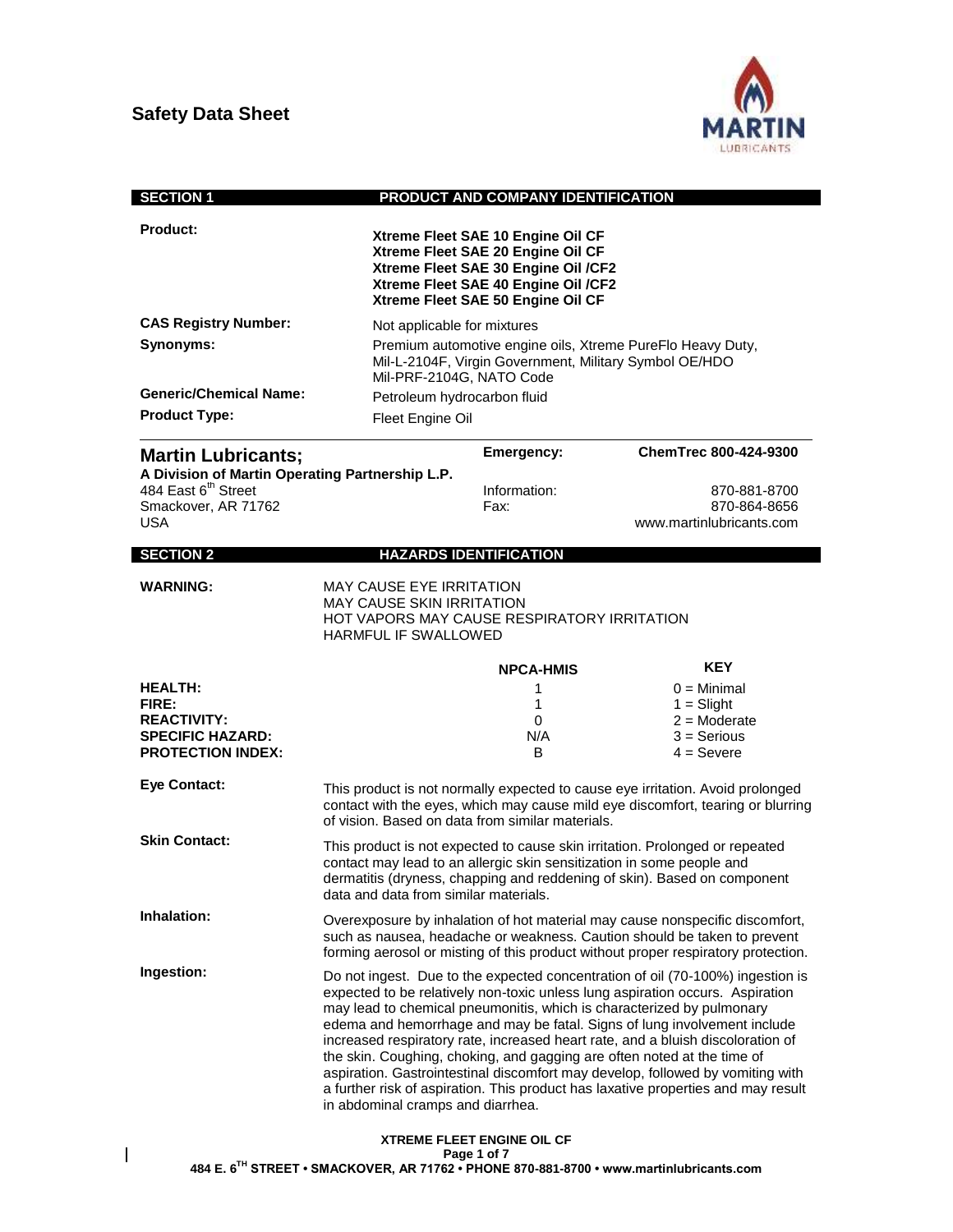

| <b>SECTION 1</b>                                                                                     |                                                                                                                                                                                                                                                                                                                                                                                                                                                                                                                                                                                                                                                                                                | PRODUCT AND COMPANY IDENTIFICATION                                                                                                                                                        |                                                                                                                                                                                                                                               |
|------------------------------------------------------------------------------------------------------|------------------------------------------------------------------------------------------------------------------------------------------------------------------------------------------------------------------------------------------------------------------------------------------------------------------------------------------------------------------------------------------------------------------------------------------------------------------------------------------------------------------------------------------------------------------------------------------------------------------------------------------------------------------------------------------------|-------------------------------------------------------------------------------------------------------------------------------------------------------------------------------------------|-----------------------------------------------------------------------------------------------------------------------------------------------------------------------------------------------------------------------------------------------|
| <b>Product:</b>                                                                                      |                                                                                                                                                                                                                                                                                                                                                                                                                                                                                                                                                                                                                                                                                                | Xtreme Fleet SAE 10 Engine Oil CF<br>Xtreme Fleet SAE 20 Engine Oil CF<br>Xtreme Fleet SAE 30 Engine Oil /CF2<br>Xtreme Fleet SAE 40 Engine Oil /CF2<br>Xtreme Fleet SAE 50 Engine Oil CF |                                                                                                                                                                                                                                               |
| <b>CAS Registry Number:</b>                                                                          | Not applicable for mixtures                                                                                                                                                                                                                                                                                                                                                                                                                                                                                                                                                                                                                                                                    |                                                                                                                                                                                           |                                                                                                                                                                                                                                               |
| Synonyms:<br><b>Generic/Chemical Name:</b><br><b>Product Type:</b>                                   | Premium automotive engine oils, Xtreme PureFlo Heavy Duty,<br>Mil-L-2104F, Virgin Government, Military Symbol OE/HDO<br>Mil-PRF-2104G, NATO Code<br>Petroleum hydrocarbon fluid<br>Fleet Engine Oil                                                                                                                                                                                                                                                                                                                                                                                                                                                                                            |                                                                                                                                                                                           |                                                                                                                                                                                                                                               |
|                                                                                                      |                                                                                                                                                                                                                                                                                                                                                                                                                                                                                                                                                                                                                                                                                                |                                                                                                                                                                                           | ChemTrec 800-424-9300                                                                                                                                                                                                                         |
| <b>Martin Lubricants;</b><br>A Division of Martin Operating Partnership L.P.                         |                                                                                                                                                                                                                                                                                                                                                                                                                                                                                                                                                                                                                                                                                                | Emergency:                                                                                                                                                                                |                                                                                                                                                                                                                                               |
| 484 East 6 <sup>th</sup> Street<br>Smackover, AR 71762<br>USA                                        |                                                                                                                                                                                                                                                                                                                                                                                                                                                                                                                                                                                                                                                                                                | Information:<br>Fax:                                                                                                                                                                      | 870-881-8700<br>870-864-8656<br>www.martinlubricants.com                                                                                                                                                                                      |
| <b>SECTION 2</b>                                                                                     |                                                                                                                                                                                                                                                                                                                                                                                                                                                                                                                                                                                                                                                                                                | <b>HAZARDS IDENTIFICATION</b>                                                                                                                                                             |                                                                                                                                                                                                                                               |
|                                                                                                      |                                                                                                                                                                                                                                                                                                                                                                                                                                                                                                                                                                                                                                                                                                |                                                                                                                                                                                           |                                                                                                                                                                                                                                               |
| <b>WARNING:</b>                                                                                      | <b>MAY CAUSE EYE IRRITATION</b><br><b>MAY CAUSE SKIN IRRITATION</b><br>HOT VAPORS MAY CAUSE RESPIRATORY IRRITATION<br><b>HARMFUL IF SWALLOWED</b>                                                                                                                                                                                                                                                                                                                                                                                                                                                                                                                                              |                                                                                                                                                                                           |                                                                                                                                                                                                                                               |
|                                                                                                      |                                                                                                                                                                                                                                                                                                                                                                                                                                                                                                                                                                                                                                                                                                | <b>NPCA-HMIS</b>                                                                                                                                                                          | <b>KEY</b>                                                                                                                                                                                                                                    |
| <b>HEALTH:</b><br>FIRE:<br><b>REACTIVITY:</b><br><b>SPECIFIC HAZARD:</b><br><b>PROTECTION INDEX:</b> |                                                                                                                                                                                                                                                                                                                                                                                                                                                                                                                                                                                                                                                                                                | 1<br>1<br>0<br>N/A<br>B.                                                                                                                                                                  | $0 =$ Minimal<br>$1 =$ Slight<br>$2 =$ Moderate<br>$3 =$ Serious<br>$4 =$ Severe                                                                                                                                                              |
| <b>Eye Contact:</b>                                                                                  | of vision. Based on data from similar materials.                                                                                                                                                                                                                                                                                                                                                                                                                                                                                                                                                                                                                                               |                                                                                                                                                                                           | This product is not normally expected to cause eye irritation. Avoid prolonged<br>contact with the eyes, which may cause mild eye discomfort, tearing or blurring                                                                             |
| <b>Skin Contact:</b>                                                                                 | This product is not expected to cause skin irritation. Prolonged or repeated<br>contact may lead to an allergic skin sensitization in some people and<br>dermatitis (dryness, chapping and reddening of skin). Based on component<br>data and data from similar materials.                                                                                                                                                                                                                                                                                                                                                                                                                     |                                                                                                                                                                                           |                                                                                                                                                                                                                                               |
| Inhalation:                                                                                          |                                                                                                                                                                                                                                                                                                                                                                                                                                                                                                                                                                                                                                                                                                |                                                                                                                                                                                           | Overexposure by inhalation of hot material may cause nonspecific discomfort,<br>such as nausea, headache or weakness. Caution should be taken to prevent<br>forming aerosol or misting of this product without proper respiratory protection. |
| Ingestion:                                                                                           | Do not ingest. Due to the expected concentration of oil (70-100%) ingestion is<br>expected to be relatively non-toxic unless lung aspiration occurs. Aspiration<br>may lead to chemical pneumonitis, which is characterized by pulmonary<br>edema and hemorrhage and may be fatal. Signs of lung involvement include<br>increased respiratory rate, increased heart rate, and a bluish discoloration of<br>the skin. Coughing, choking, and gagging are often noted at the time of<br>aspiration. Gastrointestinal discomfort may develop, followed by vomiting with<br>a further risk of aspiration. This product has laxative properties and may result<br>in abdominal cramps and diarrhea. |                                                                                                                                                                                           |                                                                                                                                                                                                                                               |
|                                                                                                      |                                                                                                                                                                                                                                                                                                                                                                                                                                                                                                                                                                                                                                                                                                | <b>YTOEME EI EET ENGINE OIL CE</b>                                                                                                                                                        |                                                                                                                                                                                                                                               |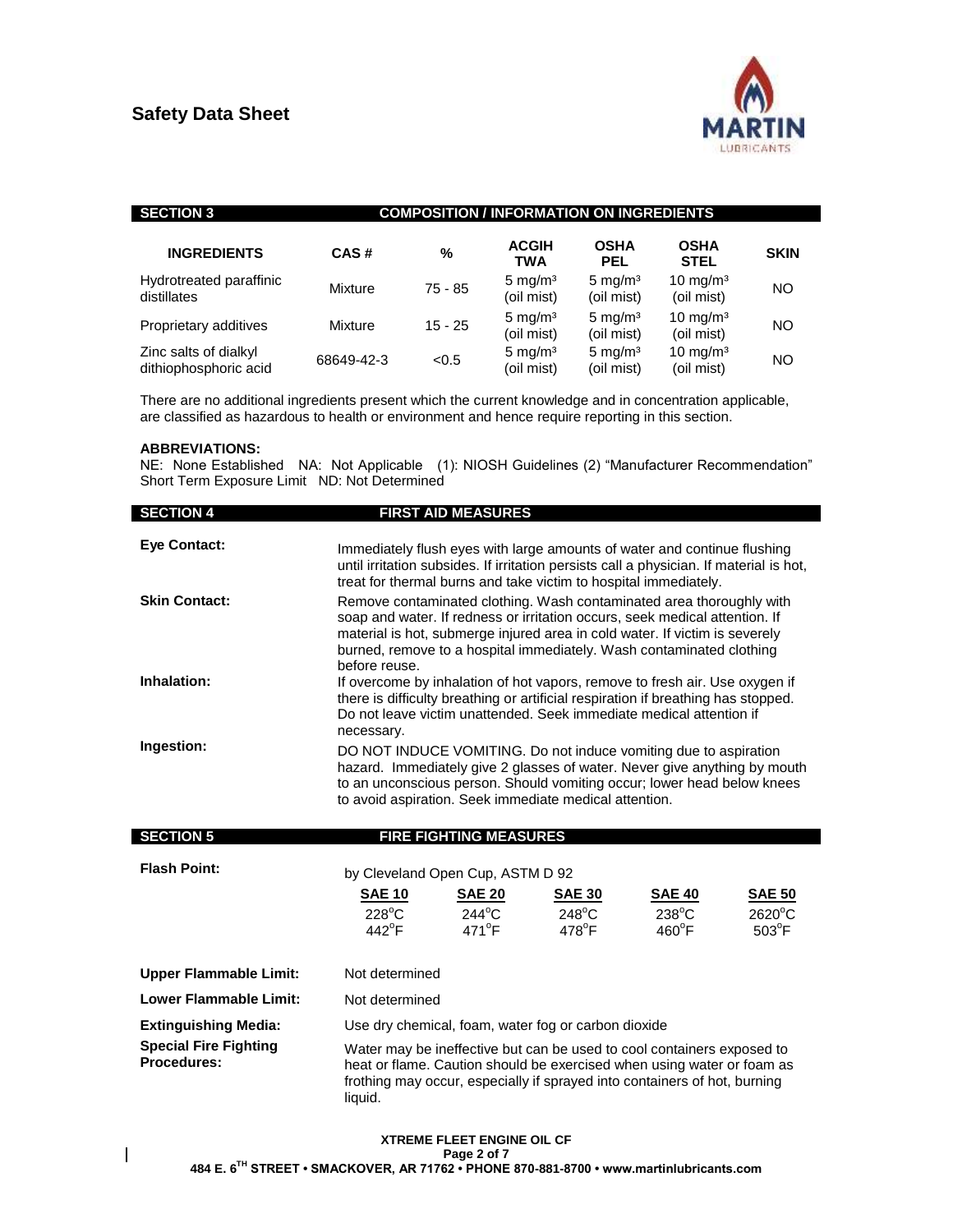

| <b>SECTION 3</b>                               | <b>COMPOSITION / INFORMATION ON INGREDIENTS</b> |           |                                   |                                  |                            |             |
|------------------------------------------------|-------------------------------------------------|-----------|-----------------------------------|----------------------------------|----------------------------|-------------|
| <b>INGREDIENTS</b>                             | CAS#                                            | %         | <b>ACGIH</b><br>TWA               | <b>OSHA</b><br><b>PEL</b>        | <b>OSHA</b><br><b>STEL</b> | <b>SKIN</b> |
| Hydrotreated paraffinic<br>distillates         | Mixture                                         | $75 - 85$ | 5 mg/m <sup>3</sup><br>(oil mist) | $5 \text{ mg/m}^3$<br>(oil mist) | 10 mg/m $3$<br>(oil mist)  | NO          |
| Proprietary additives                          | Mixture                                         | $15 - 25$ | $5 \text{ mg/m}^3$<br>(oil mist)  | $5 \text{ mg/m}^3$<br>(oil mist) | 10 mg/m $3$<br>(oil mist)  | NO          |
| Zinc salts of dialkyl<br>dithiophosphoric acid | 68649-42-3                                      | < 0.5     | $5 \text{ mg/m}^3$<br>(oil mist)  | $5 \text{ mg/m}^3$<br>(oil mist) | 10 mg/m $3$<br>(oil mist)  | ΝO          |

There are no additional ingredients present which the current knowledge and in concentration applicable, are classified as hazardous to health or environment and hence require reporting in this section.

#### **ABBREVIATIONS:**

 $\overline{\phantom{a}}$ 

NE: None Established NA: Not Applicable (1): NIOSH Guidelines (2) "Manufacturer Recommendation" Short Term Exposure Limit ND: Not Determined

| <b>SECTION 4</b>     | <b>FIRST AID MEASURES</b>                                                                                                                                                                                                                                                                                                   |
|----------------------|-----------------------------------------------------------------------------------------------------------------------------------------------------------------------------------------------------------------------------------------------------------------------------------------------------------------------------|
| <b>Eve Contact:</b>  | Immediately flush eyes with large amounts of water and continue flushing<br>until irritation subsides. If irritation persists call a physician. If material is hot,<br>treat for thermal burns and take victim to hospital immediately.                                                                                     |
| <b>Skin Contact:</b> | Remove contaminated clothing. Wash contaminated area thoroughly with<br>soap and water. If redness or irritation occurs, seek medical attention. If<br>material is hot, submerge injured area in cold water. If victim is severely<br>burned, remove to a hospital immediately. Wash contaminated clothing<br>before reuse. |
| Inhalation:          | If overcome by inhalation of hot vapors, remove to fresh air. Use oxygen if<br>there is difficulty breathing or artificial respiration if breathing has stopped.<br>Do not leave victim unattended. Seek immediate medical attention if<br>necessary.                                                                       |
| Ingestion:           | DO NOT INDUCE VOMITING. Do not induce vomiting due to aspiration<br>hazard. Immediately give 2 glasses of water. Never give anything by mouth<br>to an unconscious person. Should vomiting occur; lower head below knees<br>to avoid aspiration. Seek immediate medical attention.                                          |

| <b>SECTION 5</b>                                   |                                                                                                                                                                                                                                          | <b>FIRE FIGHTING MEASURES</b>      |                                    |                                    |                                     |
|----------------------------------------------------|------------------------------------------------------------------------------------------------------------------------------------------------------------------------------------------------------------------------------------------|------------------------------------|------------------------------------|------------------------------------|-------------------------------------|
| <b>Flash Point:</b>                                | by Cleveland Open Cup, ASTM D 92                                                                                                                                                                                                         |                                    |                                    |                                    |                                     |
|                                                    | <b>SAE 10</b>                                                                                                                                                                                                                            | <b>SAE 20</b>                      | <b>SAE 30</b>                      | <b>SAE 40</b>                      | <b>SAE 50</b>                       |
|                                                    | $228^{\circ}$ C<br>$442^{\circ}$ F                                                                                                                                                                                                       | $244^{\circ}$ C<br>$471^{\circ}$ F | $248^{\circ}$ C<br>$478^{\circ}$ F | $238^{\circ}$ C<br>$460^{\circ}$ F | $2620^{\circ}$ C<br>$503^{\circ}$ F |
| <b>Upper Flammable Limit:</b>                      | Not determined                                                                                                                                                                                                                           |                                    |                                    |                                    |                                     |
| Lower Flammable Limit:                             | Not determined                                                                                                                                                                                                                           |                                    |                                    |                                    |                                     |
| <b>Extinguishing Media:</b>                        | Use dry chemical, foam, water fog or carbon dioxide                                                                                                                                                                                      |                                    |                                    |                                    |                                     |
| <b>Special Fire Fighting</b><br><b>Procedures:</b> | Water may be ineffective but can be used to cool containers exposed to<br>heat or flame. Caution should be exercised when using water or foam as<br>frothing may occur, especially if sprayed into containers of hot, burning<br>liquid. |                                    |                                    |                                    |                                     |

### **XTREME FLEET ENGINE OIL CF Page 2 of 7 484 E. 6TH STREET • SMACKOVER, AR 71762 • PHONE 870-881-8700 • www.martinlubricants.com**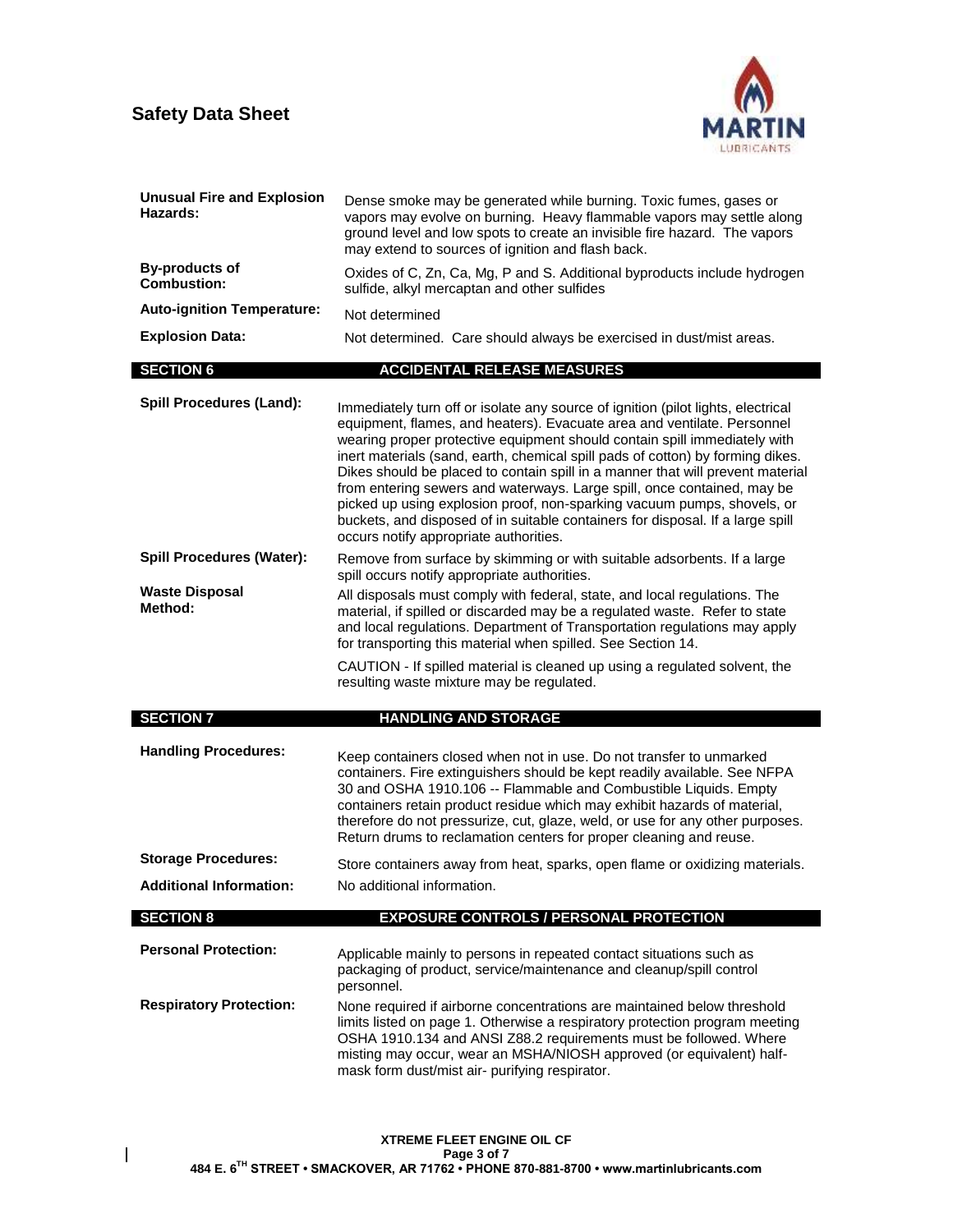

| <b>Unusual Fire and Explosion</b><br>Hazards: | Dense smoke may be generated while burning. Toxic fumes, gases or<br>vapors may evolve on burning. Heavy flammable vapors may settle along<br>ground level and low spots to create an invisible fire hazard. The vapors<br>may extend to sources of ignition and flash back.                                                                                                                                                                                                                                                                                                                                                                                                                   |
|-----------------------------------------------|------------------------------------------------------------------------------------------------------------------------------------------------------------------------------------------------------------------------------------------------------------------------------------------------------------------------------------------------------------------------------------------------------------------------------------------------------------------------------------------------------------------------------------------------------------------------------------------------------------------------------------------------------------------------------------------------|
| <b>By-products of</b><br><b>Combustion:</b>   | Oxides of C, Zn, Ca, Mg, P and S. Additional byproducts include hydrogen<br>sulfide, alkyl mercaptan and other sulfides                                                                                                                                                                                                                                                                                                                                                                                                                                                                                                                                                                        |
| <b>Auto-ignition Temperature:</b>             | Not determined                                                                                                                                                                                                                                                                                                                                                                                                                                                                                                                                                                                                                                                                                 |
| <b>Explosion Data:</b>                        | Not determined. Care should always be exercised in dust/mist areas.                                                                                                                                                                                                                                                                                                                                                                                                                                                                                                                                                                                                                            |
| <b>SECTION 6</b>                              | <b>ACCIDENTAL RELEASE MEASURES</b>                                                                                                                                                                                                                                                                                                                                                                                                                                                                                                                                                                                                                                                             |
| <b>Spill Procedures (Land):</b>               | Immediately turn off or isolate any source of ignition (pilot lights, electrical<br>equipment, flames, and heaters). Evacuate area and ventilate. Personnel<br>wearing proper protective equipment should contain spill immediately with<br>inert materials (sand, earth, chemical spill pads of cotton) by forming dikes.<br>Dikes should be placed to contain spill in a manner that will prevent material<br>from entering sewers and waterways. Large spill, once contained, may be<br>picked up using explosion proof, non-sparking vacuum pumps, shovels, or<br>buckets, and disposed of in suitable containers for disposal. If a large spill<br>occurs notify appropriate authorities. |
| <b>Spill Procedures (Water):</b>              | Remove from surface by skimming or with suitable adsorbents. If a large<br>spill occurs notify appropriate authorities.                                                                                                                                                                                                                                                                                                                                                                                                                                                                                                                                                                        |
| <b>Waste Disposal</b><br>Method:              | All disposals must comply with federal, state, and local regulations. The<br>material, if spilled or discarded may be a regulated waste. Refer to state<br>and local regulations. Department of Transportation regulations may apply<br>for transporting this material when spilled. See Section 14.                                                                                                                                                                                                                                                                                                                                                                                           |
|                                               | CAUTION - If spilled material is cleaned up using a regulated solvent, the<br>resulting waste mixture may be regulated.                                                                                                                                                                                                                                                                                                                                                                                                                                                                                                                                                                        |
| <b>SECTION 7</b>                              | <b>HANDLING AND STORAGE</b>                                                                                                                                                                                                                                                                                                                                                                                                                                                                                                                                                                                                                                                                    |
| <b>Handling Procedures:</b>                   | Keep containers closed when not in use. Do not transfer to unmarked<br>containers. Fire extinguishers should be kept readily available. See NFPA<br>30 and OSHA 1910.106 -- Flammable and Combustible Liquids. Empty<br>containers retain product residue which may exhibit hazards of material,<br>therefore do not pressurize, cut, glaze, weld, or use for any other purposes.<br>Return drums to reclamation centers for proper cleaning and reuse.                                                                                                                                                                                                                                        |
| <b>Storage Procedures:</b>                    | Store containers away from heat, sparks, open flame or oxidizing materials.                                                                                                                                                                                                                                                                                                                                                                                                                                                                                                                                                                                                                    |
| <b>Additional Information:</b>                | No additional information.                                                                                                                                                                                                                                                                                                                                                                                                                                                                                                                                                                                                                                                                     |
| <b>SECTION 8</b>                              | <b>EXPOSURE CONTROLS / PERSONAL PROTECTION</b>                                                                                                                                                                                                                                                                                                                                                                                                                                                                                                                                                                                                                                                 |
| <b>Personal Protection:</b>                   | Applicable mainly to persons in repeated contact situations such as<br>packaging of product, service/maintenance and cleanup/spill control<br>personnel.                                                                                                                                                                                                                                                                                                                                                                                                                                                                                                                                       |
| <b>Respiratory Protection:</b>                | None required if airborne concentrations are maintained below threshold<br>limits listed on page 1. Otherwise a respiratory protection program meeting<br>OSHA 1910.134 and ANSI Z88.2 requirements must be followed. Where<br>misting may occur, wear an MSHA/NIOSH approved (or equivalent) half-<br>mask form dust/mist air- purifying respirator.                                                                                                                                                                                                                                                                                                                                          |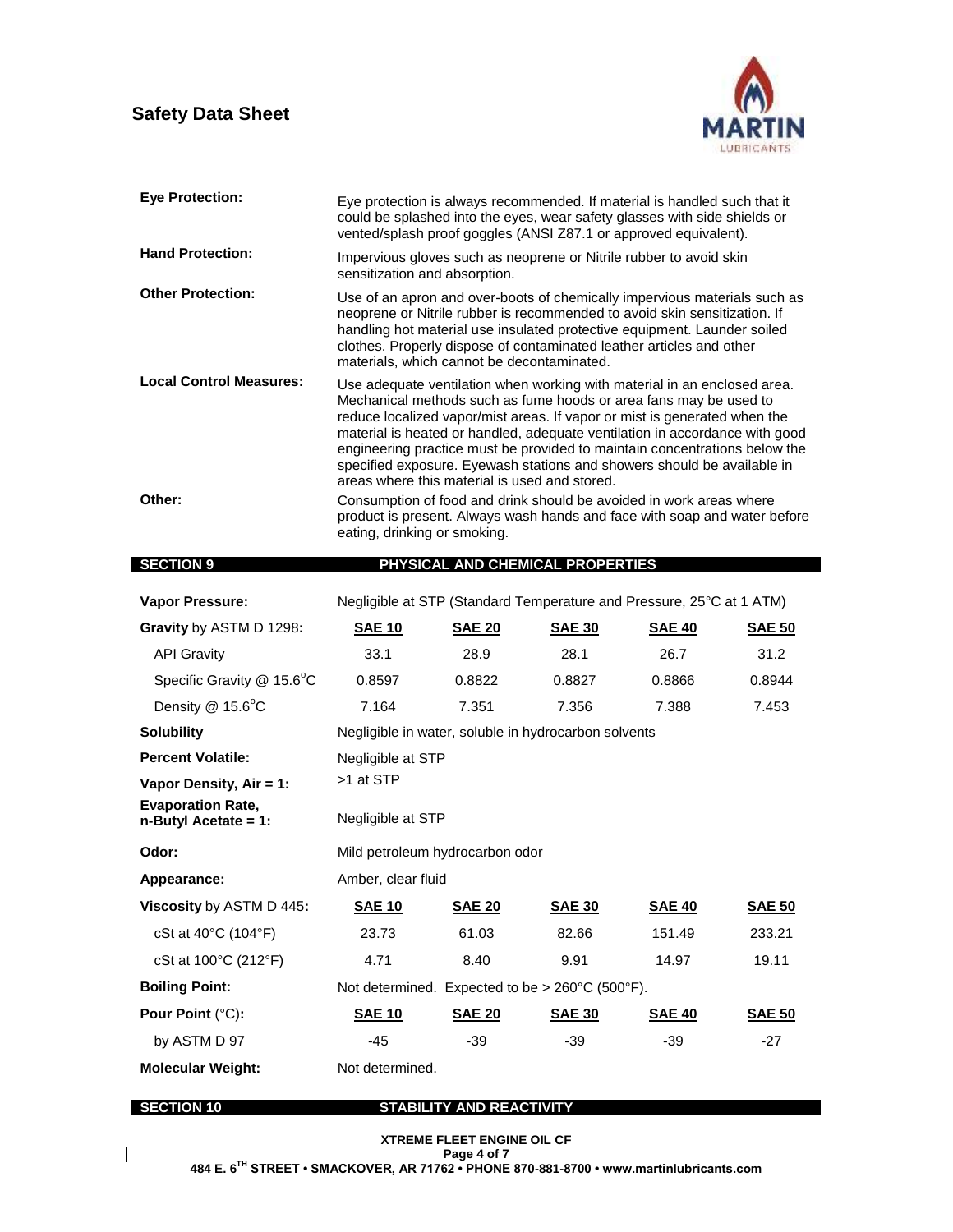$\mathbf I$ 



| <b>Eye Protection:</b>                              | Eye protection is always recommended. If material is handled such that it<br>could be splashed into the eyes, wear safety glasses with side shields or<br>vented/splash proof goggles (ANSI Z87.1 or approved equivalent).                                                                                                                                                                                                                                                                                                                                                                                                                                                                              |                                                                                                     |                                                                      |               |               |
|-----------------------------------------------------|---------------------------------------------------------------------------------------------------------------------------------------------------------------------------------------------------------------------------------------------------------------------------------------------------------------------------------------------------------------------------------------------------------------------------------------------------------------------------------------------------------------------------------------------------------------------------------------------------------------------------------------------------------------------------------------------------------|-----------------------------------------------------------------------------------------------------|----------------------------------------------------------------------|---------------|---------------|
| <b>Hand Protection:</b>                             |                                                                                                                                                                                                                                                                                                                                                                                                                                                                                                                                                                                                                                                                                                         | Impervious gloves such as neoprene or Nitrile rubber to avoid skin<br>sensitization and absorption. |                                                                      |               |               |
| <b>Other Protection:</b>                            | Use of an apron and over-boots of chemically impervious materials such as<br>neoprene or Nitrile rubber is recommended to avoid skin sensitization. If<br>handling hot material use insulated protective equipment. Launder soiled<br>clothes. Properly dispose of contaminated leather articles and other<br>materials, which cannot be decontaminated.                                                                                                                                                                                                                                                                                                                                                |                                                                                                     |                                                                      |               |               |
| <b>Local Control Measures:</b><br>Other:            | Use adequate ventilation when working with material in an enclosed area.<br>Mechanical methods such as fume hoods or area fans may be used to<br>reduce localized vapor/mist areas. If vapor or mist is generated when the<br>material is heated or handled, adequate ventilation in accordance with good<br>engineering practice must be provided to maintain concentrations below the<br>specified exposure. Eyewash stations and showers should be available in<br>areas where this material is used and stored.<br>Consumption of food and drink should be avoided in work areas where<br>product is present. Always wash hands and face with soap and water before<br>eating, drinking or smoking. |                                                                                                     |                                                                      |               |               |
| <b>SECTION 9</b>                                    |                                                                                                                                                                                                                                                                                                                                                                                                                                                                                                                                                                                                                                                                                                         |                                                                                                     | PHYSICAL AND CHEMICAL PROPERTIES                                     |               |               |
|                                                     |                                                                                                                                                                                                                                                                                                                                                                                                                                                                                                                                                                                                                                                                                                         |                                                                                                     |                                                                      |               |               |
| <b>Vapor Pressure:</b>                              |                                                                                                                                                                                                                                                                                                                                                                                                                                                                                                                                                                                                                                                                                                         |                                                                                                     | Negligible at STP (Standard Temperature and Pressure, 25°C at 1 ATM) |               |               |
| Gravity by ASTM D 1298:                             | <b>SAE 10</b>                                                                                                                                                                                                                                                                                                                                                                                                                                                                                                                                                                                                                                                                                           | <b>SAE 20</b>                                                                                       | <b>SAE 30</b>                                                        | <b>SAE 40</b> | <b>SAE 50</b> |
| <b>API Gravity</b>                                  | 33.1                                                                                                                                                                                                                                                                                                                                                                                                                                                                                                                                                                                                                                                                                                    | 28.9                                                                                                | 28.1                                                                 | 26.7          | 31.2          |
| Specific Gravity @ 15.6°C                           | 0.8597                                                                                                                                                                                                                                                                                                                                                                                                                                                                                                                                                                                                                                                                                                  | 0.8822                                                                                              | 0.8827                                                               | 0.8866        | 0.8944        |
| Density @ 15.6°C                                    | 7.164                                                                                                                                                                                                                                                                                                                                                                                                                                                                                                                                                                                                                                                                                                   | 7.351                                                                                               | 7.356                                                                | 7.388         | 7.453         |
| <b>Solubility</b>                                   |                                                                                                                                                                                                                                                                                                                                                                                                                                                                                                                                                                                                                                                                                                         |                                                                                                     | Negligible in water, soluble in hydrocarbon solvents                 |               |               |
| <b>Percent Volatile:</b>                            | Negligible at STP                                                                                                                                                                                                                                                                                                                                                                                                                                                                                                                                                                                                                                                                                       |                                                                                                     |                                                                      |               |               |
| Vapor Density, Air = 1:                             | >1 at STP                                                                                                                                                                                                                                                                                                                                                                                                                                                                                                                                                                                                                                                                                               |                                                                                                     |                                                                      |               |               |
| <b>Evaporation Rate,</b><br>$n$ -Butyl Acetate = 1: | Negligible at STP                                                                                                                                                                                                                                                                                                                                                                                                                                                                                                                                                                                                                                                                                       |                                                                                                     |                                                                      |               |               |
| Odor:                                               | Mild petroleum hydrocarbon odor                                                                                                                                                                                                                                                                                                                                                                                                                                                                                                                                                                                                                                                                         |                                                                                                     |                                                                      |               |               |
| <b>Appearance:</b>                                  | Amber, clear fluid                                                                                                                                                                                                                                                                                                                                                                                                                                                                                                                                                                                                                                                                                      |                                                                                                     |                                                                      |               |               |
| Viscosity by ASTM D 445:                            | <b>SAE 10</b>                                                                                                                                                                                                                                                                                                                                                                                                                                                                                                                                                                                                                                                                                           | <b>SAE 20</b>                                                                                       | <b>SAE 30</b>                                                        | <b>SAE 40</b> | <b>SAE 50</b> |
| cSt at 40°C (104°F)                                 | 23.73                                                                                                                                                                                                                                                                                                                                                                                                                                                                                                                                                                                                                                                                                                   | 61.03                                                                                               | 82.66                                                                | 151.49        | 233.21        |
| cSt at 100°C (212°F)                                | 4.71                                                                                                                                                                                                                                                                                                                                                                                                                                                                                                                                                                                                                                                                                                    | 8.40                                                                                                | 9.91                                                                 | 14.97         | 19.11         |
| <b>Boiling Point:</b>                               |                                                                                                                                                                                                                                                                                                                                                                                                                                                                                                                                                                                                                                                                                                         |                                                                                                     | Not determined. Expected to be > 260°C (500°F).                      |               |               |
| Pour Point (°C):                                    | <b>SAE 10</b>                                                                                                                                                                                                                                                                                                                                                                                                                                                                                                                                                                                                                                                                                           | <b>SAE 20</b>                                                                                       | <b>SAE 30</b>                                                        | <b>SAE 40</b> | <b>SAE 50</b> |
| by ASTM D 97                                        | $-45$                                                                                                                                                                                                                                                                                                                                                                                                                                                                                                                                                                                                                                                                                                   | $-39$                                                                                               | $-39$                                                                | $-39$         | $-27$         |
| <b>Molecular Weight:</b>                            | Not determined.                                                                                                                                                                                                                                                                                                                                                                                                                                                                                                                                                                                                                                                                                         |                                                                                                     |                                                                      |               |               |
| <b>SECTION 10</b>                                   |                                                                                                                                                                                                                                                                                                                                                                                                                                                                                                                                                                                                                                                                                                         | STABILITY AND REACTIVITY                                                                            |                                                                      |               |               |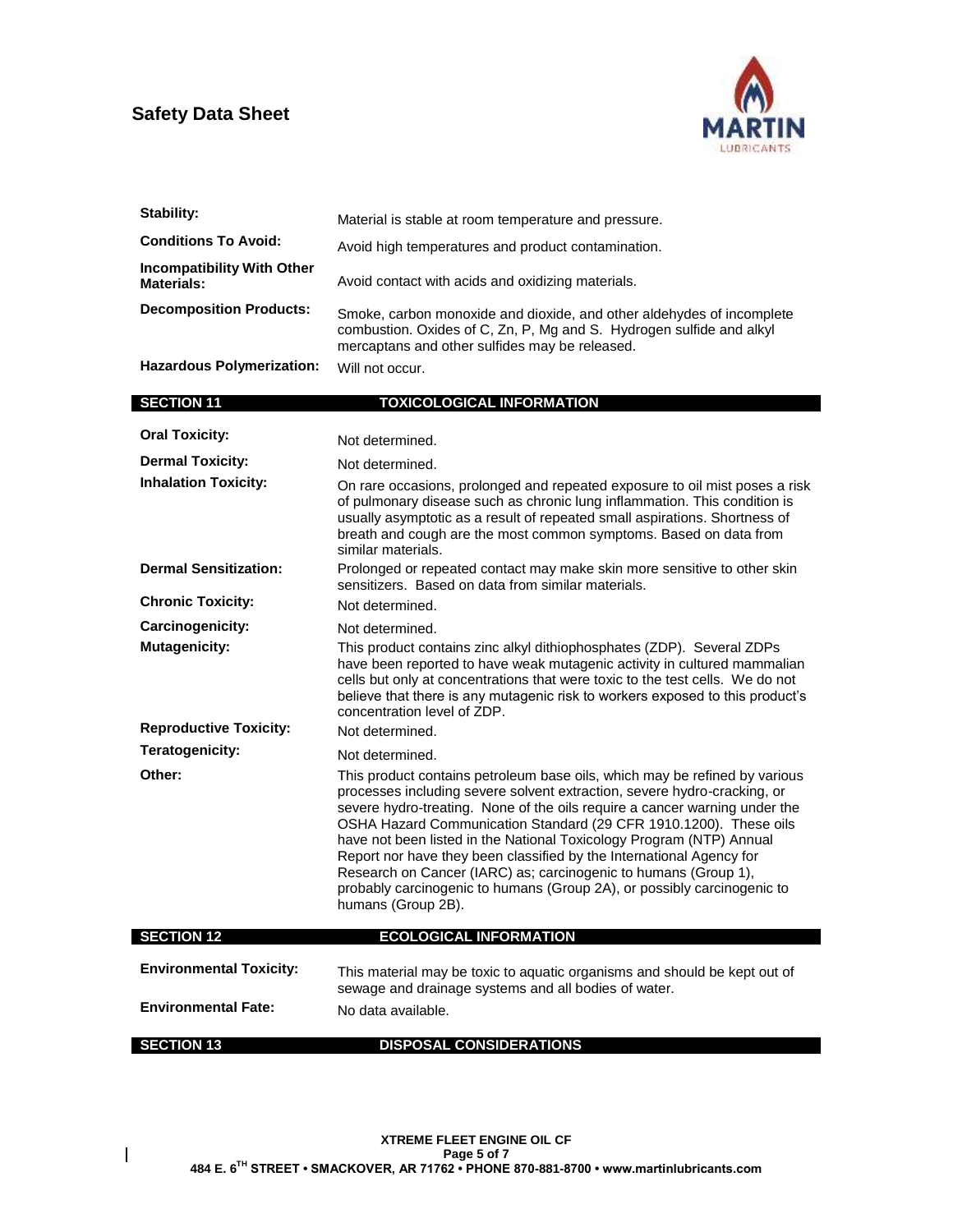

| <b>Stability:</b>                                      | Material is stable at room temperature and pressure.                                                                                                                                                                                                                                                                                                                                                                                                                                                                                                                                                                          |
|--------------------------------------------------------|-------------------------------------------------------------------------------------------------------------------------------------------------------------------------------------------------------------------------------------------------------------------------------------------------------------------------------------------------------------------------------------------------------------------------------------------------------------------------------------------------------------------------------------------------------------------------------------------------------------------------------|
| <b>Conditions To Avoid:</b>                            | Avoid high temperatures and product contamination.                                                                                                                                                                                                                                                                                                                                                                                                                                                                                                                                                                            |
| <b>Incompatibility With Other</b><br><b>Materials:</b> | Avoid contact with acids and oxidizing materials.                                                                                                                                                                                                                                                                                                                                                                                                                                                                                                                                                                             |
| <b>Decomposition Products:</b>                         | Smoke, carbon monoxide and dioxide, and other aldehydes of incomplete<br>combustion. Oxides of C, Zn, P, Mg and S. Hydrogen sulfide and alkyl<br>mercaptans and other sulfides may be released.                                                                                                                                                                                                                                                                                                                                                                                                                               |
| <b>Hazardous Polymerization:</b>                       | Will not occur.                                                                                                                                                                                                                                                                                                                                                                                                                                                                                                                                                                                                               |
| <b>SECTION 11</b>                                      | <b>TOXICOLOGICAL INFORMATION</b>                                                                                                                                                                                                                                                                                                                                                                                                                                                                                                                                                                                              |
| <b>Oral Toxicity:</b>                                  | Not determined.                                                                                                                                                                                                                                                                                                                                                                                                                                                                                                                                                                                                               |
| <b>Dermal Toxicity:</b>                                | Not determined.                                                                                                                                                                                                                                                                                                                                                                                                                                                                                                                                                                                                               |
| <b>Inhalation Toxicity:</b>                            | On rare occasions, prolonged and repeated exposure to oil mist poses a risk<br>of pulmonary disease such as chronic lung inflammation. This condition is<br>usually asymptotic as a result of repeated small aspirations. Shortness of<br>breath and cough are the most common symptoms. Based on data from<br>similar materials.                                                                                                                                                                                                                                                                                             |
| <b>Dermal Sensitization:</b>                           | Prolonged or repeated contact may make skin more sensitive to other skin<br>sensitizers. Based on data from similar materials.                                                                                                                                                                                                                                                                                                                                                                                                                                                                                                |
| <b>Chronic Toxicity:</b>                               | Not determined.                                                                                                                                                                                                                                                                                                                                                                                                                                                                                                                                                                                                               |
| Carcinogenicity:                                       | Not determined.                                                                                                                                                                                                                                                                                                                                                                                                                                                                                                                                                                                                               |
| <b>Mutagenicity:</b>                                   | This product contains zinc alkyl dithiophosphates (ZDP). Several ZDPs<br>have been reported to have weak mutagenic activity in cultured mammalian<br>cells but only at concentrations that were toxic to the test cells. We do not<br>believe that there is any mutagenic risk to workers exposed to this product's<br>concentration level of ZDP.                                                                                                                                                                                                                                                                            |
| <b>Reproductive Toxicity:</b>                          | Not determined.                                                                                                                                                                                                                                                                                                                                                                                                                                                                                                                                                                                                               |
| Teratogenicity:                                        | Not determined.                                                                                                                                                                                                                                                                                                                                                                                                                                                                                                                                                                                                               |
| Other:                                                 | This product contains petroleum base oils, which may be refined by various<br>processes including severe solvent extraction, severe hydro-cracking, or<br>severe hydro-treating. None of the oils require a cancer warning under the<br>OSHA Hazard Communication Standard (29 CFR 1910.1200). These oils<br>have not been listed in the National Toxicology Program (NTP) Annual<br>Report nor have they been classified by the International Agency for<br>Research on Cancer (IARC) as; carcinogenic to humans (Group 1),<br>probably carcinogenic to humans (Group 2A), or possibly carcinogenic to<br>humans (Group 2B). |
| <b>SECTION 12</b>                                      | <b>ECOLOGICAL INFORMATION</b>                                                                                                                                                                                                                                                                                                                                                                                                                                                                                                                                                                                                 |
| <b>Environmental Toxicity:</b>                         | This material may be toxic to aquatic organisms and should be kept out of<br>sewage and drainage systems and all bodies of water.                                                                                                                                                                                                                                                                                                                                                                                                                                                                                             |
| <b>Environmental Fate:</b>                             | No data available.                                                                                                                                                                                                                                                                                                                                                                                                                                                                                                                                                                                                            |
| <b>SECTION 13</b>                                      | <b>DISPOSAL CONSIDERATIONS</b>                                                                                                                                                                                                                                                                                                                                                                                                                                                                                                                                                                                                |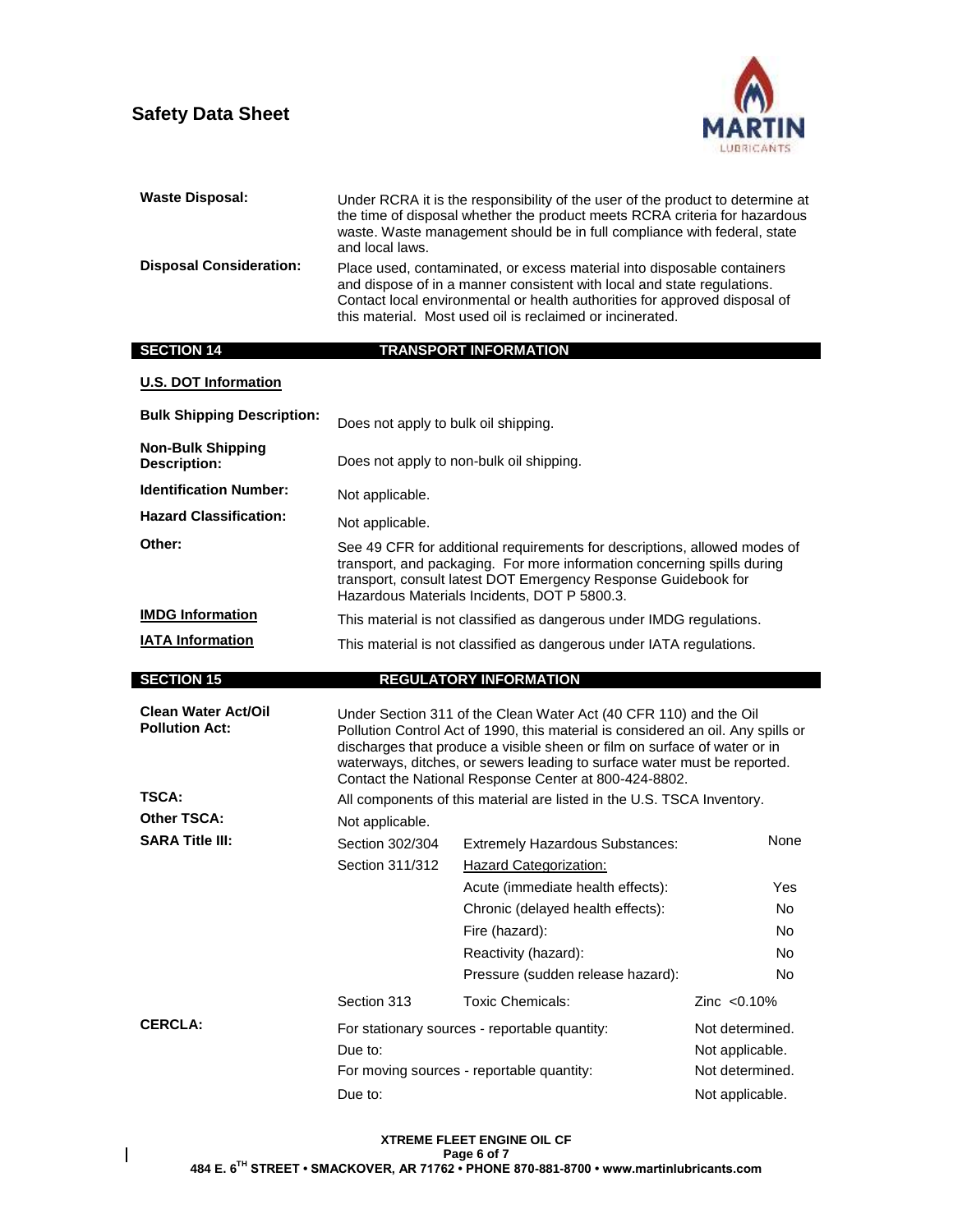

| <b>Waste Disposal:</b>                              | Under RCRA it is the responsibility of the user of the product to determine at<br>the time of disposal whether the product meets RCRA criteria for hazardous<br>waste. Waste management should be in full compliance with federal, state<br>and local laws.            |                                                                                                                                                                                                                                                                                                                                                                         |                  |
|-----------------------------------------------------|------------------------------------------------------------------------------------------------------------------------------------------------------------------------------------------------------------------------------------------------------------------------|-------------------------------------------------------------------------------------------------------------------------------------------------------------------------------------------------------------------------------------------------------------------------------------------------------------------------------------------------------------------------|------------------|
| <b>Disposal Consideration:</b>                      |                                                                                                                                                                                                                                                                        | Place used, contaminated, or excess material into disposable containers<br>and dispose of in a manner consistent with local and state regulations.<br>Contact local environmental or health authorities for approved disposal of<br>this material. Most used oil is reclaimed or incinerated.                                                                           |                  |
| <b>SECTION 14</b>                                   |                                                                                                                                                                                                                                                                        | <b>TRANSPORT INFORMATION</b>                                                                                                                                                                                                                                                                                                                                            |                  |
| <b>U.S. DOT Information</b>                         |                                                                                                                                                                                                                                                                        |                                                                                                                                                                                                                                                                                                                                                                         |                  |
| <b>Bulk Shipping Description:</b>                   | Does not apply to bulk oil shipping.                                                                                                                                                                                                                                   |                                                                                                                                                                                                                                                                                                                                                                         |                  |
| <b>Non-Bulk Shipping</b><br><b>Description:</b>     |                                                                                                                                                                                                                                                                        | Does not apply to non-bulk oil shipping.                                                                                                                                                                                                                                                                                                                                |                  |
| <b>Identification Number:</b>                       | Not applicable.                                                                                                                                                                                                                                                        |                                                                                                                                                                                                                                                                                                                                                                         |                  |
| <b>Hazard Classification:</b>                       | Not applicable.                                                                                                                                                                                                                                                        |                                                                                                                                                                                                                                                                                                                                                                         |                  |
| Other:                                              | See 49 CFR for additional requirements for descriptions, allowed modes of<br>transport, and packaging. For more information concerning spills during<br>transport, consult latest DOT Emergency Response Guidebook for<br>Hazardous Materials Incidents, DOT P 5800.3. |                                                                                                                                                                                                                                                                                                                                                                         |                  |
| <b>IMDG Information</b>                             | This material is not classified as dangerous under IMDG regulations.                                                                                                                                                                                                   |                                                                                                                                                                                                                                                                                                                                                                         |                  |
| <b>IATA Information</b>                             | This material is not classified as dangerous under IATA regulations.                                                                                                                                                                                                   |                                                                                                                                                                                                                                                                                                                                                                         |                  |
|                                                     |                                                                                                                                                                                                                                                                        |                                                                                                                                                                                                                                                                                                                                                                         |                  |
|                                                     |                                                                                                                                                                                                                                                                        |                                                                                                                                                                                                                                                                                                                                                                         |                  |
| <b>SECTION 15</b>                                   |                                                                                                                                                                                                                                                                        | <b>REGULATORY INFORMATION</b>                                                                                                                                                                                                                                                                                                                                           |                  |
| <b>Clean Water Act/Oil</b><br><b>Pollution Act:</b> |                                                                                                                                                                                                                                                                        | Under Section 311 of the Clean Water Act (40 CFR 110) and the Oil<br>Pollution Control Act of 1990, this material is considered an oil. Any spills or<br>discharges that produce a visible sheen or film on surface of water or in<br>waterways, ditches, or sewers leading to surface water must be reported.<br>Contact the National Response Center at 800-424-8802. |                  |
| TSCA:                                               |                                                                                                                                                                                                                                                                        | All components of this material are listed in the U.S. TSCA Inventory.                                                                                                                                                                                                                                                                                                  |                  |
| Other TSCA:                                         | Not applicable.                                                                                                                                                                                                                                                        |                                                                                                                                                                                                                                                                                                                                                                         |                  |
| <b>SARA Title III:</b>                              | Section 302/304                                                                                                                                                                                                                                                        | <b>Extremely Hazardous Substances:</b>                                                                                                                                                                                                                                                                                                                                  | None             |
|                                                     | Section 311/312                                                                                                                                                                                                                                                        | <b>Hazard Categorization:</b>                                                                                                                                                                                                                                                                                                                                           |                  |
|                                                     |                                                                                                                                                                                                                                                                        | Acute (immediate health effects):                                                                                                                                                                                                                                                                                                                                       | Yes              |
|                                                     |                                                                                                                                                                                                                                                                        | Chronic (delayed health effects):                                                                                                                                                                                                                                                                                                                                       | No               |
|                                                     |                                                                                                                                                                                                                                                                        | Fire (hazard):                                                                                                                                                                                                                                                                                                                                                          | <b>No</b><br>No. |
|                                                     |                                                                                                                                                                                                                                                                        | Reactivity (hazard):<br>Pressure (sudden release hazard):                                                                                                                                                                                                                                                                                                               | <b>No</b>        |
|                                                     | Section 313                                                                                                                                                                                                                                                            | <b>Toxic Chemicals:</b>                                                                                                                                                                                                                                                                                                                                                 | Zinc $< 0.10\%$  |
| <b>CERCLA:</b>                                      |                                                                                                                                                                                                                                                                        | For stationary sources - reportable quantity:                                                                                                                                                                                                                                                                                                                           | Not determined.  |
|                                                     | Due to:                                                                                                                                                                                                                                                                |                                                                                                                                                                                                                                                                                                                                                                         | Not applicable.  |
|                                                     |                                                                                                                                                                                                                                                                        | For moving sources - reportable quantity:                                                                                                                                                                                                                                                                                                                               | Not determined.  |